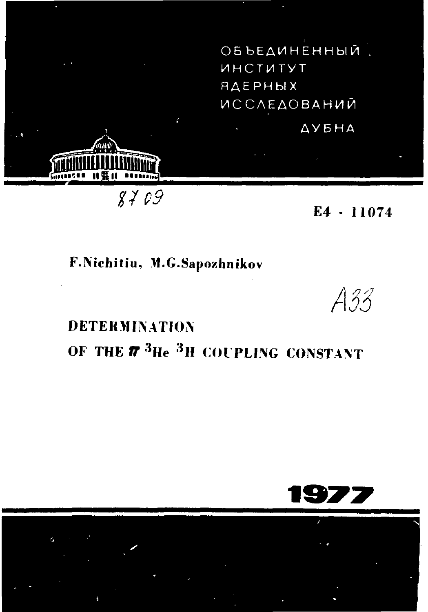ОБЪЕДИНЕННЫЙ. ИНСТИТУТ <u>ЯДЕРНЫХ</u> **ИССЛЕДОВАНИЙ ДУБНА** 

F.Nichitiu, M.G.Sapozhnikov

1995 || 1996

 $8709$ 

**DETERMINATION** OF THE  $\pi$  <sup>3</sup>He <sup>3</sup>H COUPLING CONSTANT



 $E4 - 11074$ 

A33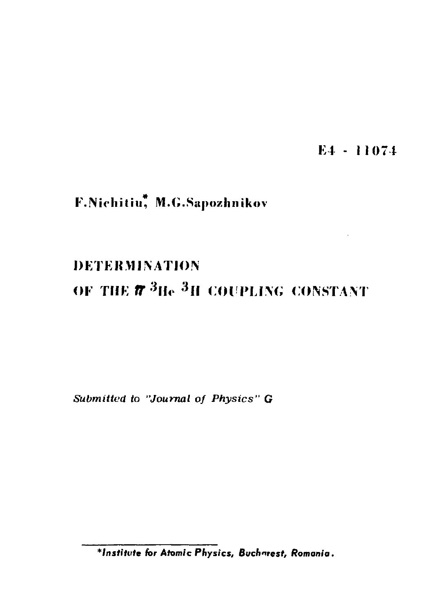E4 - 11074

# F.Nichitiu, M.G.Sapozhnikov

# **DETERMINATION**

# OF THE  $\pi$ <sup>3</sup>He<sup>3</sup>H COUPLING CONSTANT

Submitted to "Journal of Physics" G

\*Institute for Atomic Physics, Buchnrest, Romania.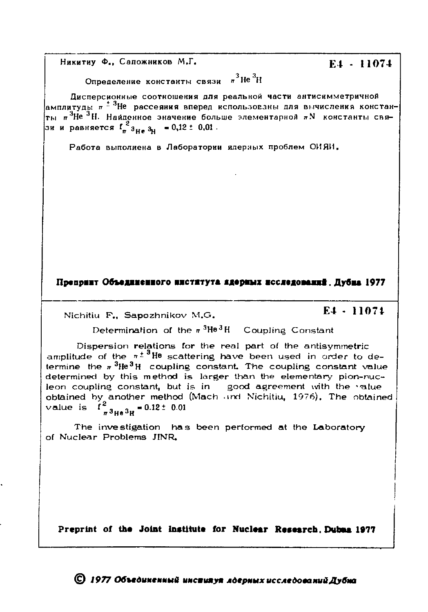Никитиу Ф., Сапожников М.Г.

Определение константы связи  $\pi^3$  Не $^3$ И

Дисперсионные соотношения для реальной части антисимметричной амплитуды  $\pi^{\pm 3}$ Не рассеяния вперед использованы для вычисления констан- $\tau_{\rm{bl}}$   $\pi^3$ Не $^3$ Н. Найденное значение больше элементарной  $\pi{\rm{N}}$  константы связи и равняется  $\int_{\pi}^{2} a_{H\pi} a_{H} = 0.12 \pm 0.01$ .

Работа выполнена в Лаборатории ядерных проблем ОИЯИ.

#### Препринт Объединенного института ядерных исследований. Дубна 1977

Nichitiu F., Sapozhnikov M.G.

#### E4 - 11074

Determination of the  $\pi$ <sup>3</sup>He<sup>3</sup>H Coupling Constant

Dispersion relations for the real part of the antisymmetric amplitude of the  $\pi^{\pm 3}$ He scattering have been used in order to determine the  $\pi$ <sup>3</sup>He<sup>3</sup>H coupling constant. The coupling constant value determined by this method is larger than the elementary pion-nucleon coupling constant, but is in good agreement with the value<br>obtained by another method (Mach and Nichitiu, 1976), The obtained  $\frac{2}{\pi}$ 3<sub>He</sub> 3<sub>H</sub> = 0.12 ± 0.01 value is

The investigation has been performed at the Laboratory of Nuclear Problems JINR.

Preprint of the Joint Institute for Nuclear Research. Dubes 1977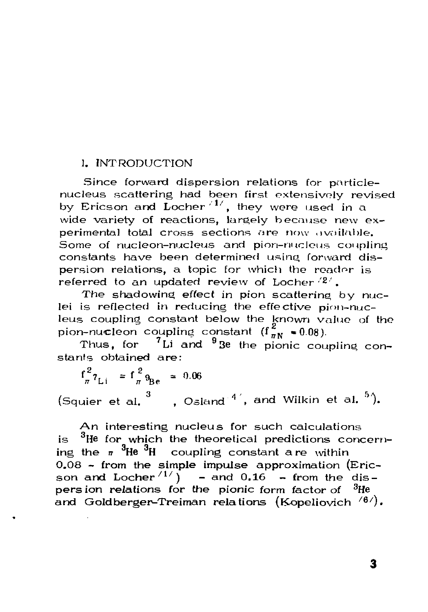## 1. INTRODUCTION

Since forward dispersion relations for particlenucleus scattering had been first extensivoly revised by Ericson and Locher<sup>/1/</sup>, they were used in a wide variety of reactions, largely because new experimental total cross sections are now available. Some of nucleon-nucleus and pion-nuclous coupling constants have been determined using forward dispersion relations, a topic for which the reader is referred to an updated review of Locher  $(2)$ .

The shadowing effect in pion scattering by  $nuc$ lei is reflected in reducing the effective pion-nucleus coupling constant below the known value of the pion-nucleon coupling constant ( $f_{\pi N}^z$  = 0.08).

Thus, for  $1$  Li and  $9$  Be the pionic coupling constants obtained are :

 $f_{\pi}^{2} \tau_{Li}$  =  $f_{\pi}^{2} \theta_{Be}$  = 0.06 (Squier et al.  $\degree$  , Osland  $\degree$  , and Wilkin et al.  $\degree$  ).

An interesting nucleus for such calculations is  $3$ He for which the theoretical predictions concerning the  $\pi$   ${}^{3}$ He  ${}^{3}$ H coupling constant are within  $0.08$  - from the simple impulse approximation (Ericson and Locher  $\binom{11}{1}$  - and 0.16 - from the dis- $\frac{1}{2}$  and  $\frac{1}{2}$  solutions for the pionic form factor of  $\frac{3}{2}$ He and Goldberger-Treiman relations (Koneliovich <sup>/6</sup> and Goldberger-Treiman relations (K-opeliovich  $\frac{1}{\sqrt{6}}$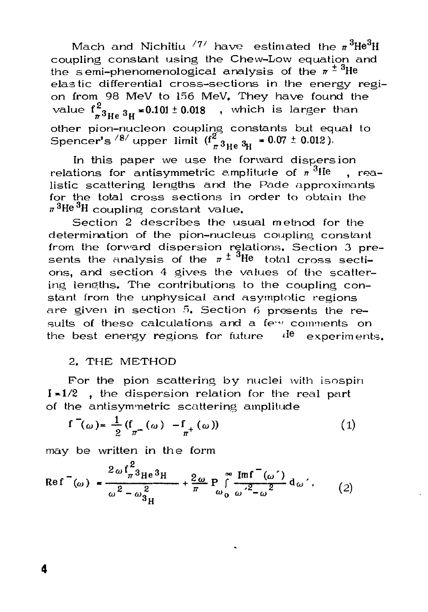Mach and Nichitiu  $^{77/}$  have estimated the  $\pi^3$ He<sup>3</sup>H coupling constant using the Chew-Low equation and the semi-phenomenological analysis of the  $\pi^{\pm 3}$ He elastic differential cross-sections in the energy region from 98 MeV to 156 MeV. They have found the value  $f^2_{\pi^3He^{3}H^*}$  = 0.101 ± 0.018 , which is larger than other pion-nucleon coupling constants but equal to Spencer's  $^{8/}$  upper limit  $(f_{\pi^3He}^2_{3He}^3_{3H} = 0.07 \pm 0.012)$ .

In this paper we use the forward dispersion relations for antisymmetric amplitude of  $\pi^3$ He. realistic scattering lengths and the Pade approximants for the total cross sections in order to obtain the  $\pi^3$ He $^3$ H coupling constant value.

Section 2 describes the usual method for the determination of the pion-nucleus coupling constant from the forward dispersion relations. Section 3 presents the analysis of the  $\pi^{\pm}$  <sup>3</sup>He total cross sections, and section 4 gives the values of the scattering lengths. The contributions to the coupling constant from the unphysical and asymptotic regions are given in section 5. Section 6 presents the results of these calculations and a few comments on the best energy regions for future  $\frac{d\theta}{dr}$  experiments.

### 2. THE METHOD

For the pion scattering by nuclei with isospin  $I = 1/2$  , the dispersion relation for the real part of the antisymmetric scattering amplitude

$$
f^{-}(\omega) = \frac{1}{2} (f_{\pi^{-}}(\omega) - f_{\pi^{+}}(\omega))
$$
 (1)

may be written in the form

$$
\text{Re} \mathbf{f}^{\top}(\omega) = \frac{2 \omega \mathbf{f}_{\pi}^{2} \mathbf{g}_{\text{He}} \mathbf{g}_{\text{H}}}{\omega^{2} - \omega_{\mathbf{g}_{\text{H}}}^{2}} + \frac{2 \omega}{\pi} \mathbf{P} \int_{\omega_{0}}^{\infty} \frac{\text{Im} \mathbf{f}^{\top}(\omega')}{\omega^{2} - \omega^{2}} \, \mathrm{d}\omega' \,. \tag{2}
$$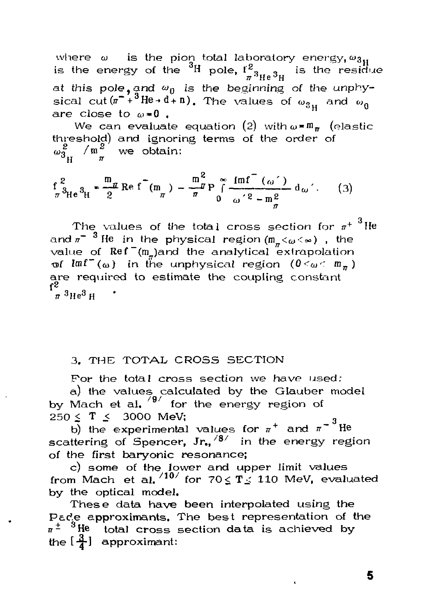where  $\omega$  is the pion total laboratory energy,  $\omega_{3n}$ is the energy of the  ${}^{3}H$  pole,  $I^{2}_{\pi} {}^{3}He$  ${}^{3}H$  is the residue at this pole, and  $\omega_0$  is the beginning of the unphysical cut( $\pi^{-1}$ <sup>3</sup>He + d + n). The values of  $\omega_{31}$  and  $\omega_0$ are close to  $\omega = 0$ .

We can evaluate equation (2) with  $\omega = m_{\pi}$  (elastic threshold) and ignoring terms of the order of  $\omega_{3_H}^2$  /m<sup>2</sup> we obtain:

$$
\frac{f^2}{\pi^3 H e^3 H} = \frac{m}{2} \text{Re} f^-(m_{\pi}) - \frac{m^2}{\pi} P \int_0^{\infty} \frac{f m f^-(\omega')}{\omega'^2 - m_{\pi}^2} d\omega'.
$$
 (3)

The values of the total cross section for  $\pi^+$  <sup>3</sup>He and  $\pi^{-3}$  He in the physical region (m<sub> $\pi$ </sub>< $\omega$ < $\omega$ ), the value of  $Ref^{-}(m_{n})$  and the analytical extrapolation of  $Imf^{\pi}(\omega)$  in the unphysical region  $(0<\omega<\mathfrak{m}_\pi)$ are required to estimate the coupling constant  $\pi$ <sup>3</sup>Не<sup>3</sup>н

## 3. THE TOTAL CROSS SECTION

For the total cross section we have used:

a) the values calculated by the Glauber model by Mach et al,  $\frac{1}{9}$  for the energy region of 250 ≤ T ≤ 3000 MeV;

b) the experimental values for  $\pi^+$  and  $\pi^{-3}$  He scattering of Spencer,  $Jr_{1}$ <sup>/8/</sup> in the energy region of the first baryonic resonance:

c) some of the lower and upper limit values from Mach et al.  $/10/$  for  $70 \leq T \leq 110$  MeV, evaluated by the optical model.

These data have been interpolated using the Pade approximants, The best representation of the  $\pi^{\pm}$  <sup>3</sup>He total cross section data is achieved by the  $\left[\frac{3}{4}\right]$  approximant: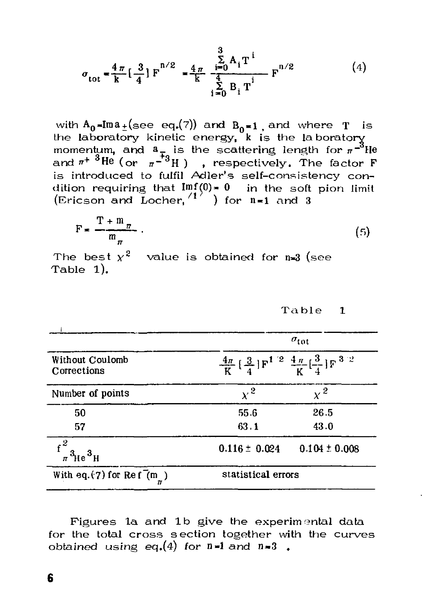$$
\sigma_{\text{tot}} = \frac{4\pi}{k} \left[ \frac{3}{4} \right] F^{n/2} = \frac{4\pi}{k} \frac{\sum_{i=0}^{3} A_i T^i}{\frac{4}{k}} F^{n/2}
$$
(4)

with  $A_0 = Im a_{\pm}(\sec eq. (7))$  and  $B_0 = 1$ , and where T is<br>the laboratory kinetic energy, k is the laboratory<br>momentum, and  $a_{\mp}$  is the scattering length for  $\pi^{-3}$ He<br>and  $\pi^{+3}$ He (or  $\pi^{-3}$ H), respectively. The factor is introduced to fulfil Adler's self-consistency condition requiring that  $\text{Im}f(0) = 0$  in the soft pion limit (Ericson and Locher,  $\binom{17}{2}$  for  $n=1$  and 3

$$
F = \frac{T + m_{\pi}}{m_{\pi}} \tag{5}
$$

The best  $y^2$  value is obtained for n=3 (see Table 1).

Table 1

|                                                                 |                                                                                                       | $\sigma_{\rm tot}$ |  |
|-----------------------------------------------------------------|-------------------------------------------------------------------------------------------------------|--------------------|--|
| Without Coulomb<br>Corrections                                  | $\frac{4\pi}{K} \left[ \frac{3}{4} \right] F^{1/2} \frac{4\pi}{K} \left[ \frac{3}{4} \right] F^{3/2}$ |                    |  |
| Number of points                                                | $\mathbf{v}^2$                                                                                        | $\sim^2$           |  |
| 50                                                              | 55.6                                                                                                  | 26.5               |  |
| 57                                                              | 63.1                                                                                                  | 43.0               |  |
| $\frac{\int_{\pi}^{2}a_{\rm He}^2}{\int_{\pi}^{2}a_{\rm He}^2}$ | $0.116 \pm 0.024$                                                                                     | $0.104 \pm 0.008$  |  |
| With eq. $(7)$ for Ref $(m_$ )                                  | statistical errors                                                                                    |                    |  |

Figures 1a and 1b give the experimental data for the total cross section together with the curves obtained using eq. (4) for  $n=1$  and  $n=3$ .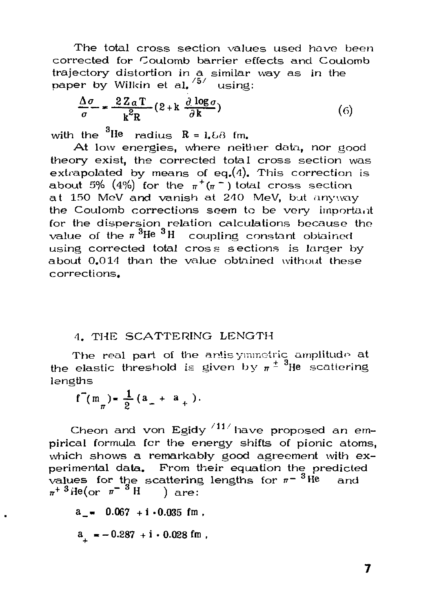The total cross section values used have been corrected for Coulomb barrier effects and Coulomb trajectory distortion in a similar way as in the paper by Wilkin et al. <sup>/5/</sup> using:

$$
\frac{\Delta \sigma}{\sigma} = \frac{2ZaT}{k^2R} (2 + k \frac{\partial \log \sigma}{\partial k})
$$
 (6)

with the  ${}^{3}$ He radius R = 1.68 fm.

At low energies, where neither data, nor good theory exist, the corrected total cross section was extrapolated by means of eq.  $(4)$ . This correction is about 5% (4%) for the  $\pi^+(\pi^-)$  total cross section at 150 MeV and vanish at 240 MeV, but anyway the Coulomb corrections seem to be very important for the dispersion relation calculations because the value of the  $\pi$ <sup>3</sup>He<sup>3</sup>H coupling constant obtained using corrected total cross sections is larger by about 0,014 than the value obtained without these corrections.

### 4. THE SCATTERING LENGTH

The real part of the antisymmetric amplitude at the elastic threshold is given by  $\pi^{\pm 3}$ He scattering lengths

 $f^{\prime}(m_{\pi}) = \frac{1}{2}(a_{\pi} + a_{\pi}).$ 

Cheon and von Egidy  $^{/11/}$  have proposed an empirical formula for the energy shifts of pionic atoms, which shows a remarkably good agreement with experimental data. From their equation the predicted values for the scattering lengths for  $\pi$ <sup>-3</sup> He and  $\pi^{+3}$  He(or  $\pi^{-3}$  H  $\vert$  are:

 $a_{-}$  = 0.067 + i · 0.035 fm,  $a_{1} = -0.287 + i \cdot 0.028$  fm,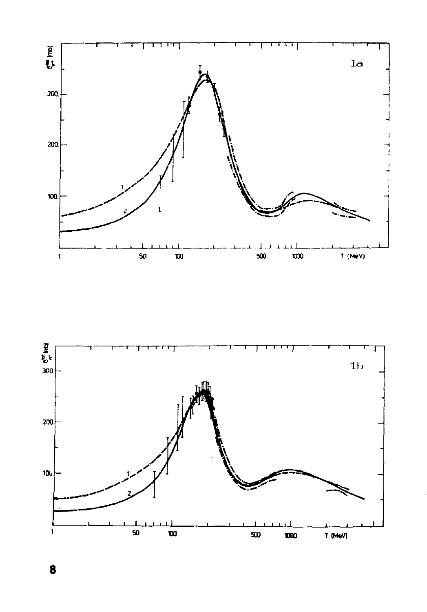

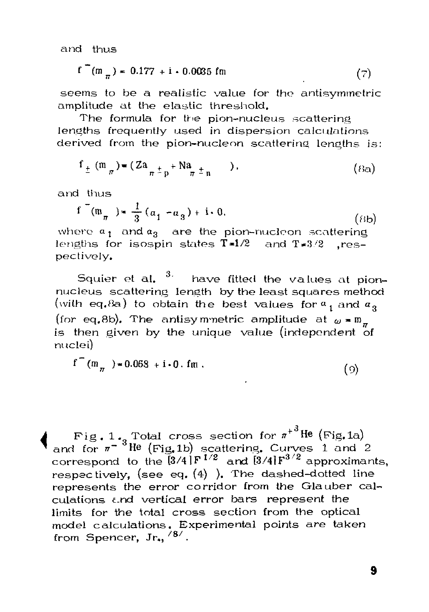and thus

$$
f^{-}(m_{\pi}) = 0.177 + i \cdot 0.0035 fm
$$
 (7)

seems to be a realistic value for the antisymmetric amplitude at the elastic threshold.

The formula for the pion-nucleus scattering lengths frequently used in dispersion calculations derived from the pion-nucleon scattering lengths is:

$$
f_{\pm}(m_{\pi}) = (Za_{\pi^{\pm}p} + Na_{\pi^{\pm}n} \quad ). \tag{8a}
$$

and thus

$$
f^{-}(m_{\pi}) = \frac{1}{3}(a_1 - a_3) + i \cdot 0.
$$
 (8b)

where  $a_{1}$  and  $a_{3}$  are the pion-nucleon scattering lengths for isospin states  $T=1/2$  and  $T=3/2$  .respectively.

Squier et al.  $3\%$  have fitted the values at pionnucleus scattering lenath by the least squares method (with eq.8a) to obtain the best values for  $a_1$  and  $a_2$ (for eq.8b). The antisymmetric amplitude at  $\omega = m_{\pi}$ is then given by the unique value (independent of nuclei)

$$
f^{\text{T}}(m_{\pi}) \star 0.068 + i \cdot 0. fm
$$
 (9)

 $\int \frac{F(g. 1 \cdot g \cdot \text{Total cross section for } n^{+3} \text{He (Fig. 1a)}}{\text{and for } n^{-3} \text{He (Fig. 1b) scattering. Curves 1 and 2}}$ correspond to the  $\bar{[}3/4\,$   $|F^{1/2}\>$  and  $\bar{[}3/4\,$   $F^{3/2}\>$  approximants, respectively, (see eq. (4) ). The dashed-dotted line represents the error corridor from the Glauber calculations c.nd vertical error bars represent the limits for the total cross section from the optical model calculations. Experimental points are taken from Spencer,  $Jr_{\star}$ ,  $/8/$ .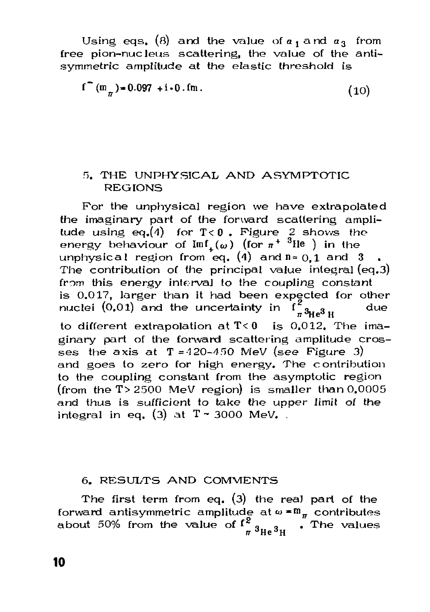Using eqs. (8) and the value of  $a_1$  and  $a_3$  from free pion-nucleus scattering, the value of the antisymmetric amplitude at the elastic threshold is

$$
f^{\text{m}}(m_{\pi}) = 0.097 + i \cdot 0. \text{fm} \tag{10}
$$

#### 5. THE UNPHYSICAL AND ASYMPTOTIC **REGIONS**

For the unphysical region we have extrapolated the imaginary part of the forward scattering amplitude using eq.(4) for  $T < 0$ . Figure 2 shows the energy behaviour of  $\text{Im} f(\omega)$  (for  $\pi^{+3}$ lle) in the unphysical region from eq. (4) and  $n = 0.1$  and 3 The contribution of the principal value integral (eq.3) from this energy interval to the coupling constant is 0.017, larger than it had been expected for other nuclei  $(0.01)$  and the uncertainty in due  $73\mu$ <sup>3</sup> u to different extrapolation at  $T < 0$  is 0.012. The imaginary part of the forward scattering amplitude crosses the axis at  $T = 420 - 450$  MeV (see Figure 3) and goes to zero for high energy. The contribution to the coupling constant from the asymptotic region (from the  $T > 2500$  MeV region) is smaller than  $0.0005$ and thus is sufficient to take the upper limit of the integral in eq. (3) at  $T \sim 3000$  MeV.

#### 6. RESULTS AND COMMENTS

The first term from eq.  $(3)$  the real part of the forward antisymmetric amplitude at  $\omega = m_{\pi}$  contributes about 50% from the value of  $f^2_{\pi} s_{\text{He}} s_{\text{H}}$  . The values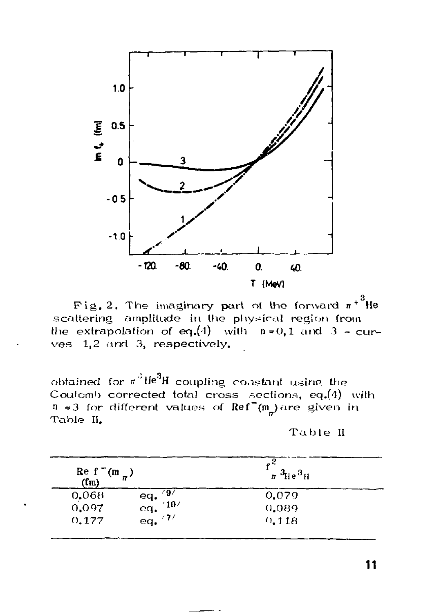

Fig. 2. The imaginary part of the forward  $\pi^{+3}$ He scattering amplitude in the physical region from the extrapolation of eq.(4) with  $n=0,1$  and  $3$  - curves 1.2 and 3. respectively.

obtained for  $\pi^3$ He<sup>3</sup>H coupling constant using the Coulomb corrected total cross sections, eq.(4) with  $n = 3$  for different values of  $Ref^-(m)$  are given in Table II.

Table II

| Re f <sup>-1</sup> (m $_{\pi}$ )<br>(fm) |                                                  | $^{2}$<br>$\pi~^3$ He $^3$ H |  |
|------------------------------------------|--------------------------------------------------|------------------------------|--|
| 0.068                                    | رو ،                                             | 0.079                        |  |
| 0.097                                    | eq. $\frac{97}{9}$<br>eq. $\frac{10}{7}$<br>'10' | 0.089                        |  |
| 0.177                                    |                                                  | 0.118                        |  |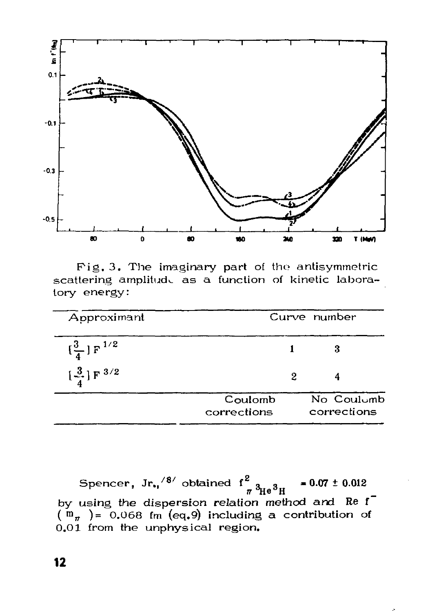

Fig. 3. The imaginary part of the antisymmetric scattering amplitude as a function of kinetic laboratory energy:

| Approximant                           | Curve number           |   |                           |
|---------------------------------------|------------------------|---|---------------------------|
| $\left[\frac{3}{4}\right]$ F $^{1/2}$ |                        |   | 3                         |
| $\left[\frac{3}{4}\right]$ F $^{3/2}$ |                        | 2 |                           |
|                                       | Coulomb<br>corrections |   | No Coulumb<br>corrections |

Spencer, Jr.,  $/8/$  obtained  $f^2_{\pi}$   $^3\text{He}^3\text{H}$  $= 0.07 \pm 0.012$ by using the dispersion relation method and Re f  $(m_{\pi}) = 0.068$  fm (eq.9) including a contribution of 0.01 from the unphysical region.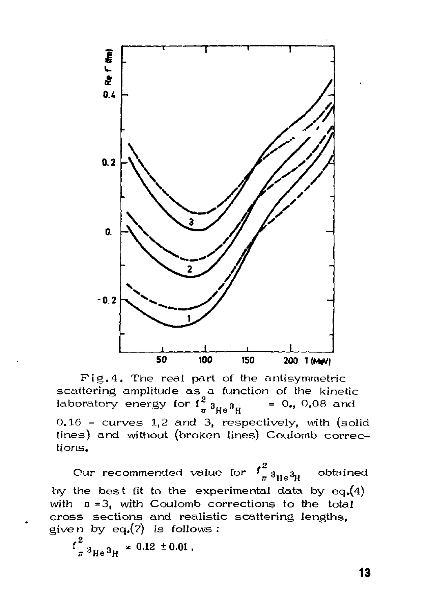

Fig.4. The real part of the antisymmetric scattering amplitude as a function of the kinetic laboratory energy for  $f_{\pi 3_{\text{He}}3_{\text{H}}}^2$  $= 0., 0.08$  and 0.16 - curves 1.2 and 3, respectively, with (solid lines) and without (broken lines) Coulomb corrections.

Cur recommended value for  $\int_{\pi}^{2} 3_{\text{H}_e} 3_{\text{H}_e}$ obtained by the best fit to the experimental data by  $eq.(4)$ with  $n = 3$ , with Coulomb corrections to the total cross sections and realistic scattering lengths. given by eq. $(7)$  is follows:

 $f_{\pi}^{2}$  3<sub>He</sub> 3<sub>H</sub>  $\approx$  0.12  $\pm$  0.01,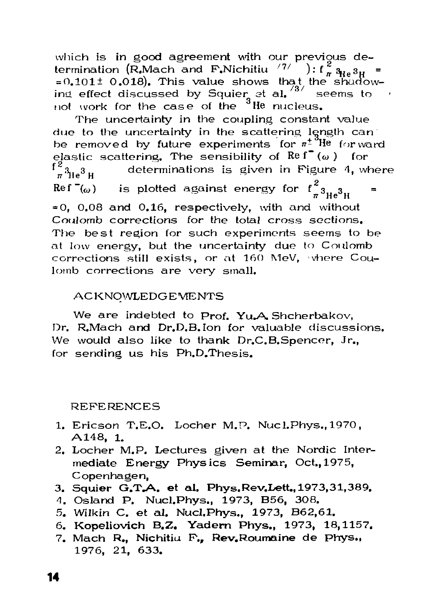which is in good agreement with our previous determination (R,Mach and F,Nichitiu  $\langle\, ^{77}$   $\rangle$  : f  $_\pi^2$   $_{\rm He}$   $_{\rm 3H}$   $_{\rm H}$  $= 0.101 \pm 0.018$ . This value shows that the shadow- $\frac{1}{2}$  **ind effect discussed by Squier at al.**  $\frac{1}{3}$  seems to not work for the case of the  $3$ He nucleus.

The uncertainty in the coupling constant value due to the uncertainty in the scattering length can be removed by future experiments for  $\pi^{\pm}$ <sup>3</sup>He for ward elastic scattering. The sensibility of Re f<sup>2</sup> ( $\omega$ ) for  $f^2$ <sub>n<sup>3</sup>He<sup>3</sup> H determinations is given in Figure 4, wh</sub> determinations is given in Figure 4, where  $\text{Re} \int_{-\infty}^{\infty}$ is plotted against energy for  $\mathrm{f}_{\pi^3\mathrm{He}^3\mathrm{H}}^2$  $\cdot$  0.08 and 0.16, respectively, with and without  $\cdot$ Coulomb corrections for the total cross sections. The best region for such experiments seems to be at low energy, but the uncertainty due to Coulomb corrections still exists, or at 160 MeV, where Coulomb corrections are very small. complete still exists, or at 160 MeV, the 160 MeV, in the Country Country of the Country of Since Country of the Country of Country of The Country of The Country of The Country of The Country of The Country of The Country

## ACKNOWLEDGEWENTS ACKNOWLEDGEMENTS

We are indebted to Prof. Yu.A Shcherbakov, Dr. R.Mach and Dr.D.B. Ion for valuable discussions. We would also like to thank Dr.C.B.Spencer, Jr., for sending us his Ph.D.Thesis.

REFERENCES

- 1. Ericson T.E.O. Locher M.P. Nucl.Phys., 1970, A148, 1.
- 2. Locher M.P. Lectures given at the Nordic Intermediate Energy Physics Seminar, Oct., 1975, Copenhagen,
- 3. Squier G.T.A. et al. Phys.Rev.Lett., 1973,31,389.
- *A.* Osland P. Nucl.Phys., 1973, B56, 308.
- 5. Wilkin C. et al. Nucl.Phys., 1973, B62.61.
- 6. Kopeliovich B.Z. Yadern Phys., 1973, 18,1157.
- 7. Mach R., Nichitiu F., Rev.Roumaine de Phys., 1976, 21, 633.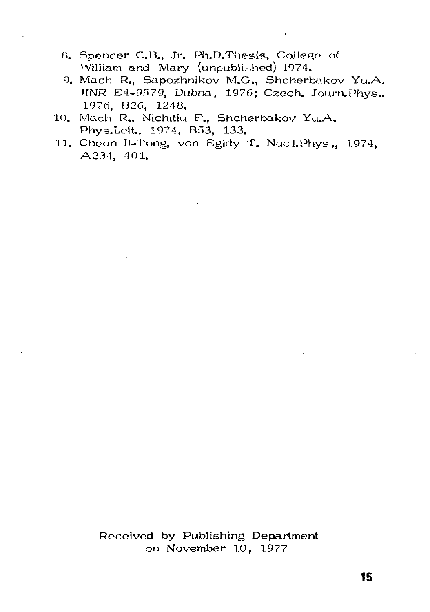- 8. Spencer C.B., Jr. Ph.D.Thesis, College of William and Mary (unpublished) 1974.
- 9. Mach R., Sapozhnikov M.G., Shcherbakov Yu.A. IINR E4-9579, Dubna, 1976; Czech. Journ.Phys., 1976, B26, 1248.
- 10. Mach R., Nichitiu F., Shcherbakov Yu,A. Phys.Lett., 1974, B53, 133.
- 11. Cheon Il-Tong, *von* Egidy T. Nucl.Phys., 1974, A234, 401.

Received by Publishing Department on November 10, 1977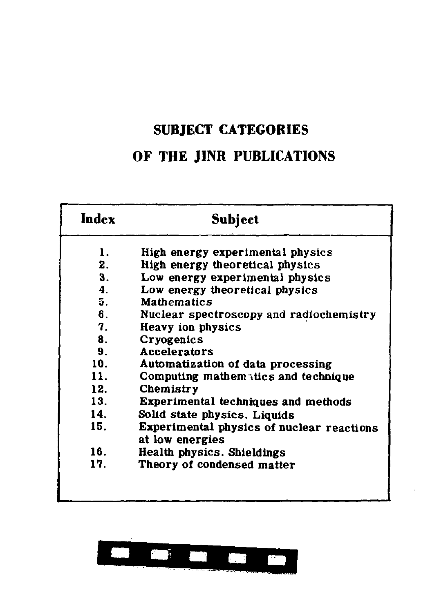# **SUBJECT CATEGORIES**

# **OF THE JINR PUBLICATIONS**

| Index | Subject                                                      |
|-------|--------------------------------------------------------------|
| ı.    | High energy experimental physics                             |
| 2.    | High energy theoretical physics                              |
| 3.    | Low energy experimental physics                              |
| 4.    | Low energy theoretical physics                               |
| 5.    | <b>Mathematics</b>                                           |
| 6.    | Nuclear spectroscopy and radiochemistry                      |
| 7.    | Heavy ion physics                                            |
| 8.    | Cryogenics                                                   |
| 9.    | Accelerators                                                 |
| 10.   | Automatization of data processing                            |
| 11.   | Computing mathematics and technique                          |
| 12.   | Chemistry                                                    |
| 13.   | Experimental techniques and methods                          |
| 14.   | Solid state physics. Liquids                                 |
| 15.   | Experimental physics of nuclear reactions<br>at low energies |
| 16.   | Health physics. Shieldings                                   |
| 17.   | Theory of condensed matter                                   |
|       |                                                              |